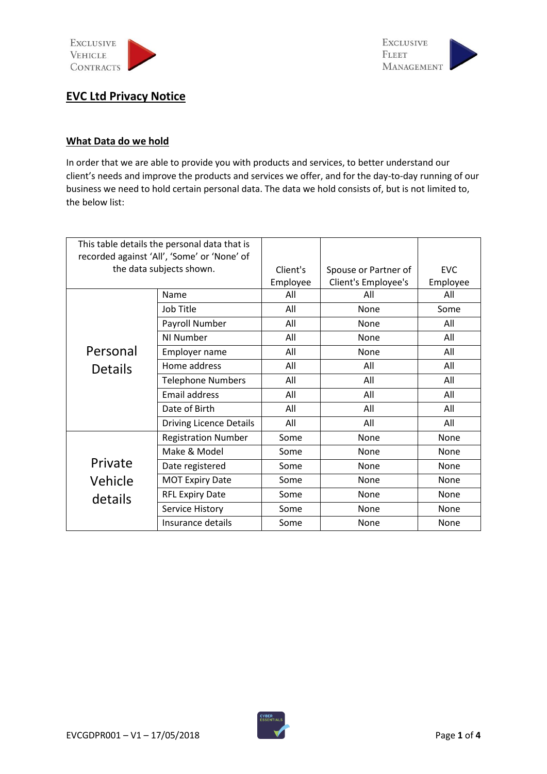

**EXCLUSIVE FLEET** MANAGEMENT

# **EVC Ltd Privacy Notice**

### **What Data do we hold**

In order that we are able to provide you with products and services, to better understand our client's needs and improve the products and services we offer, and for the day-to-day running of our business we need to hold certain personal data. The data we hold consists of, but is not limited to, the below list:

| This table details the personal data that is |                                             |          |                      |             |
|----------------------------------------------|---------------------------------------------|----------|----------------------|-------------|
|                                              | recorded against 'All', 'Some' or 'None' of |          |                      |             |
|                                              | the data subjects shown.                    | Client's | Spouse or Partner of | <b>FVC</b>  |
|                                              |                                             | Employee | Client's Employee's  | Employee    |
|                                              | Name                                        | All      | All                  | All         |
|                                              | Job Title                                   | All      | None                 | Some        |
|                                              | Payroll Number                              | All      | None                 | All         |
|                                              | NI Number                                   | All      | None                 | All         |
| Personal                                     | Employer name                               | All      | None                 | All         |
| <b>Details</b>                               | Home address                                | All      | All                  | All         |
|                                              | <b>Telephone Numbers</b>                    | All      | All                  | All         |
|                                              | <b>Email address</b>                        | All      | All                  | All         |
|                                              | Date of Birth                               | All      | All                  | All         |
|                                              | <b>Driving Licence Details</b>              | All      | All                  | All         |
|                                              | <b>Registration Number</b>                  | Some     | None                 | None        |
|                                              | Make & Model                                | Some     | None                 | None        |
| Private                                      | Date registered                             | Some     | None                 | None        |
| Vehicle                                      | <b>MOT Expiry Date</b>                      | Some     | None                 | None        |
| details                                      | <b>RFL Expiry Date</b>                      | Some     | <b>None</b>          | None        |
|                                              | Service History                             | Some     | None                 | None        |
|                                              | Insurance details                           | Some     | None                 | <b>None</b> |

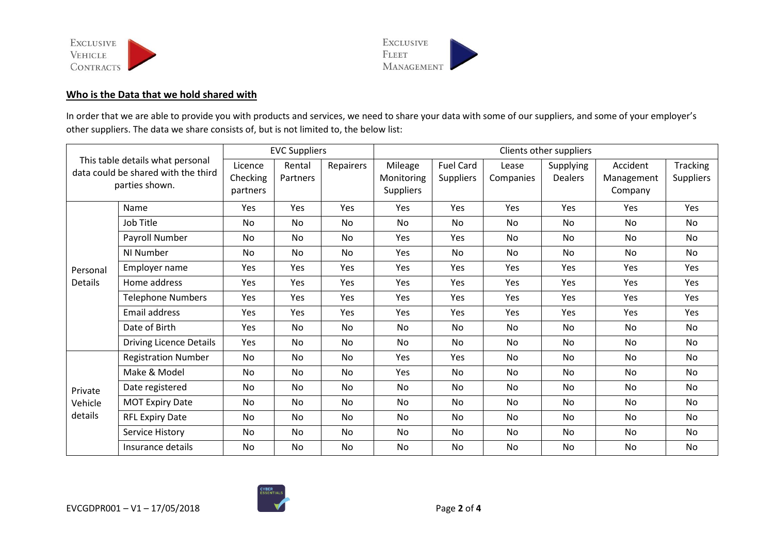



## **Who is the Data that we hold shared with**

In order that we are able to provide you with products and services, we need to share your data with some of our suppliers, and some of your employer's other suppliers. The data we share consists of, but is not limited to, the below list:

| This table details what personal<br>data could be shared with the third<br>parties shown. |                                | <b>EVC Suppliers</b> |            | Clients other suppliers |                  |                  |           |                |            |                  |
|-------------------------------------------------------------------------------------------|--------------------------------|----------------------|------------|-------------------------|------------------|------------------|-----------|----------------|------------|------------------|
|                                                                                           |                                | Licence              | Rental     | Repairers               | Mileage          | Fuel Card        | Lease     | Supplying      | Accident   | <b>Tracking</b>  |
|                                                                                           |                                | Checking             | Partners   |                         | Monitoring       | <b>Suppliers</b> | Companies | <b>Dealers</b> | Management | <b>Suppliers</b> |
|                                                                                           |                                | partners             |            |                         | <b>Suppliers</b> |                  |           |                | Company    |                  |
|                                                                                           | Name                           | Yes                  | Yes        | Yes                     | Yes              | <b>Yes</b>       | Yes       | Yes            | Yes        | Yes              |
|                                                                                           | Job Title                      | No                   | No         | No                      | No               | <b>No</b>        | No        | No             | <b>No</b>  | No               |
|                                                                                           | Payroll Number                 | <b>No</b>            | No         | No                      | Yes              | Yes              | No        | No             | No.        | No               |
|                                                                                           | NI Number                      | No                   | No         | No                      | Yes              | No               | No        | No             | No.        | No               |
| Personal                                                                                  | Employer name                  | Yes                  | Yes        | Yes                     | Yes              | Yes              | Yes       | Yes            | Yes        | Yes              |
| Details                                                                                   | Home address                   | Yes                  | Yes        | Yes                     | Yes              | Yes              | Yes       | Yes            | Yes        | Yes              |
|                                                                                           | <b>Telephone Numbers</b>       | Yes                  | Yes        | Yes                     | Yes              | Yes              | Yes       | Yes            | Yes        | Yes              |
|                                                                                           | <b>Email address</b>           | <b>Yes</b>           | <b>Yes</b> | <b>Yes</b>              | Yes              | Yes              | Yes       | Yes            | <b>Yes</b> | <b>Yes</b>       |
|                                                                                           | Date of Birth                  | Yes                  | No         | No                      | <b>No</b>        | No               | No        | No             | No.        | No               |
|                                                                                           | <b>Driving Licence Details</b> | Yes                  | No         | No                      | No               | No               | <b>No</b> | <b>No</b>      | No         | <b>No</b>        |
| Private<br>Vehicle<br>details                                                             | <b>Registration Number</b>     | No                   | No         | No                      | Yes              | Yes              | No        | <b>No</b>      | No         | <b>No</b>        |
|                                                                                           | Make & Model                   | No                   | No         | No                      | Yes              | No               | No        | No             | No         | No               |
|                                                                                           | Date registered                | No                   | No         | No                      | No               | No               | No        | No             | No         | No               |
|                                                                                           | <b>MOT Expiry Date</b>         | No                   | No         | <b>No</b>               | No               | <b>No</b>        | <b>No</b> | <b>No</b>      | No         | <b>No</b>        |
|                                                                                           | <b>RFL Expiry Date</b>         | <b>No</b>            | No         | No                      | No               | No               | <b>No</b> | <b>No</b>      | No         | <b>No</b>        |
|                                                                                           | Service History                | No                   | No         | No                      | No               | No               | No        | No             | No.        | No               |
|                                                                                           | Insurance details              | No                   | No         | No                      | No               | No               | No        | No             | No         | No               |

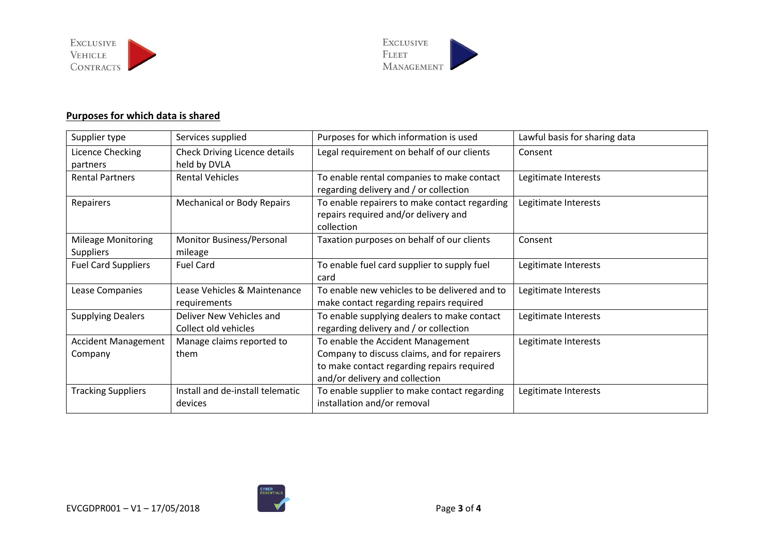



## **Purposes for which data is shared**

| Supplier type                                 | Services supplied                                    | Purposes for which information is used                                                                                                                            | Lawful basis for sharing data |
|-----------------------------------------------|------------------------------------------------------|-------------------------------------------------------------------------------------------------------------------------------------------------------------------|-------------------------------|
| Licence Checking<br>partners                  | <b>Check Driving Licence details</b><br>held by DVLA | Legal requirement on behalf of our clients                                                                                                                        | Consent                       |
| <b>Rental Partners</b>                        | <b>Rental Vehicles</b>                               | To enable rental companies to make contact<br>regarding delivery and / or collection                                                                              | Legitimate Interests          |
| Repairers                                     | <b>Mechanical or Body Repairs</b>                    | To enable repairers to make contact regarding<br>repairs required and/or delivery and<br>collection                                                               | Legitimate Interests          |
| <b>Mileage Monitoring</b><br><b>Suppliers</b> | Monitor Business/Personal<br>mileage                 | Taxation purposes on behalf of our clients                                                                                                                        | Consent                       |
| <b>Fuel Card Suppliers</b>                    | <b>Fuel Card</b>                                     | To enable fuel card supplier to supply fuel<br>card                                                                                                               | Legitimate Interests          |
| Lease Companies                               | Lease Vehicles & Maintenance<br>requirements         | To enable new vehicles to be delivered and to<br>make contact regarding repairs required                                                                          | Legitimate Interests          |
| <b>Supplying Dealers</b>                      | Deliver New Vehicles and<br>Collect old vehicles     | To enable supplying dealers to make contact<br>regarding delivery and / or collection                                                                             | Legitimate Interests          |
| <b>Accident Management</b><br>Company         | Manage claims reported to<br>them                    | To enable the Accident Management<br>Company to discuss claims, and for repairers<br>to make contact regarding repairs required<br>and/or delivery and collection | Legitimate Interests          |
| <b>Tracking Suppliers</b>                     | Install and de-install telematic<br>devices          | To enable supplier to make contact regarding<br>installation and/or removal                                                                                       | Legitimate Interests          |